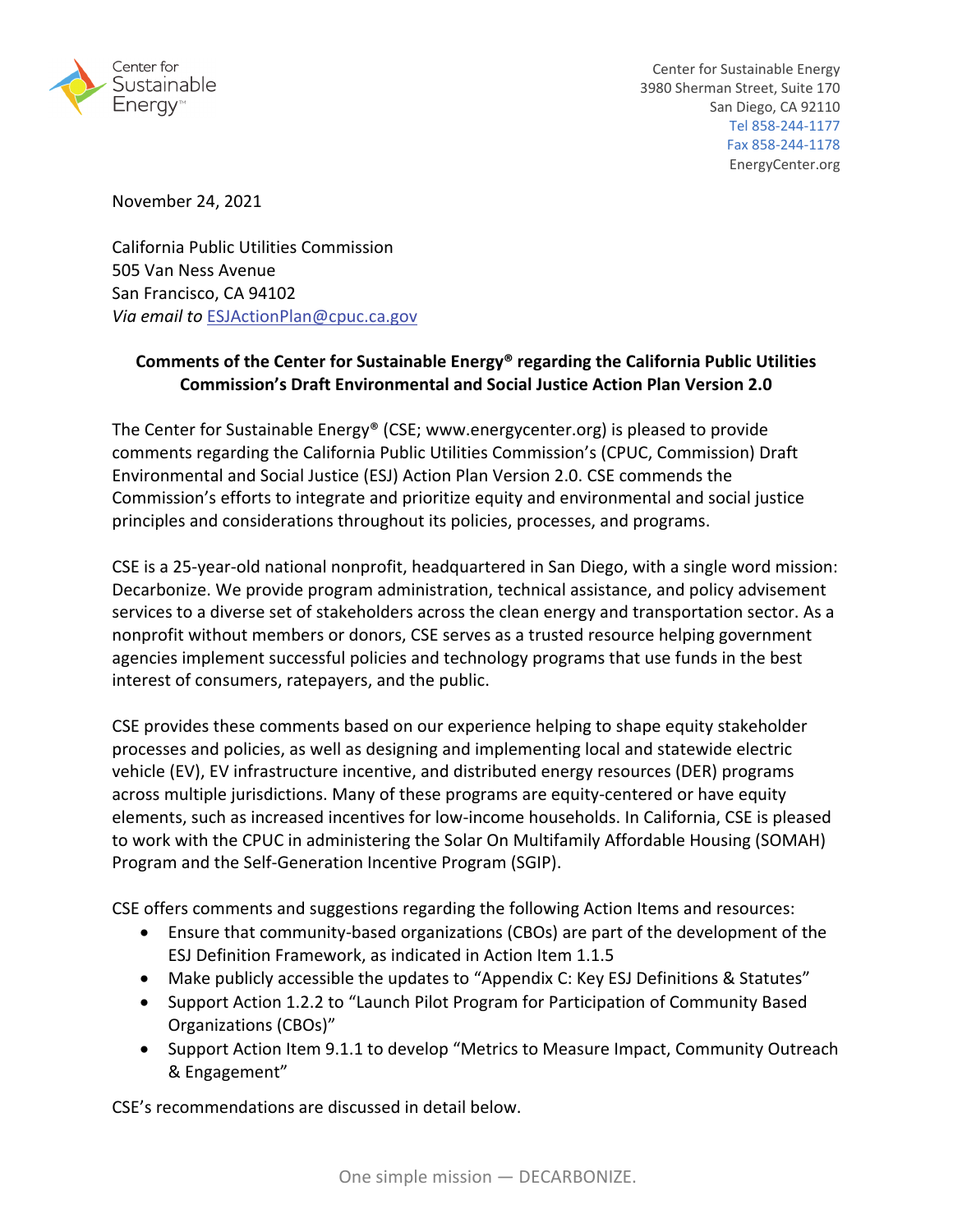

November 24, 2021

California Public Utilities Commission 505 Van Ness Avenue San Francisco, CA 94102 *Via email to* ESJActionPlan@cpuc.ca.gov

# **Comments of the Center for Sustainable Energy® regarding the California Public Utilities Commission's Draft Environmental and Social Justice Action Plan Version 2.0**

The Center for Sustainable Energy® (CSE; www.energycenter.org) is pleased to provide comments regarding the California Public Utilities Commission's (CPUC, Commission) Draft Environmental and Social Justice (ESJ) Action Plan Version 2.0. CSE commends the Commission's efforts to integrate and prioritize equity and environmental and social justice principles and considerations throughout its policies, processes, and programs.

CSE is a 25‐year‐old national nonprofit, headquartered in San Diego, with a single word mission: Decarbonize. We provide program administration, technical assistance, and policy advisement services to a diverse set of stakeholders across the clean energy and transportation sector. As a nonprofit without members or donors, CSE serves as a trusted resource helping government agencies implement successful policies and technology programs that use funds in the best interest of consumers, ratepayers, and the public.

CSE provides these comments based on our experience helping to shape equity stakeholder processes and policies, as well as designing and implementing local and statewide electric vehicle (EV), EV infrastructure incentive, and distributed energy resources (DER) programs across multiple jurisdictions. Many of these programs are equity-centered or have equity elements, such as increased incentives for low‐income households. In California, CSE is pleased to work with the CPUC in administering the Solar On Multifamily Affordable Housing (SOMAH) Program and the Self‐Generation Incentive Program (SGIP).

CSE offers comments and suggestions regarding the following Action Items and resources:

- Ensure that community‐based organizations (CBOs) are part of the development of the ESJ Definition Framework, as indicated in Action Item 1.1.5
- Make publicly accessible the updates to "Appendix C: Key ESJ Definitions & Statutes"
- Support Action 1.2.2 to "Launch Pilot Program for Participation of Community Based Organizations (CBOs)"
- Support Action Item 9.1.1 to develop "Metrics to Measure Impact, Community Outreach & Engagement"

CSE's recommendations are discussed in detail below.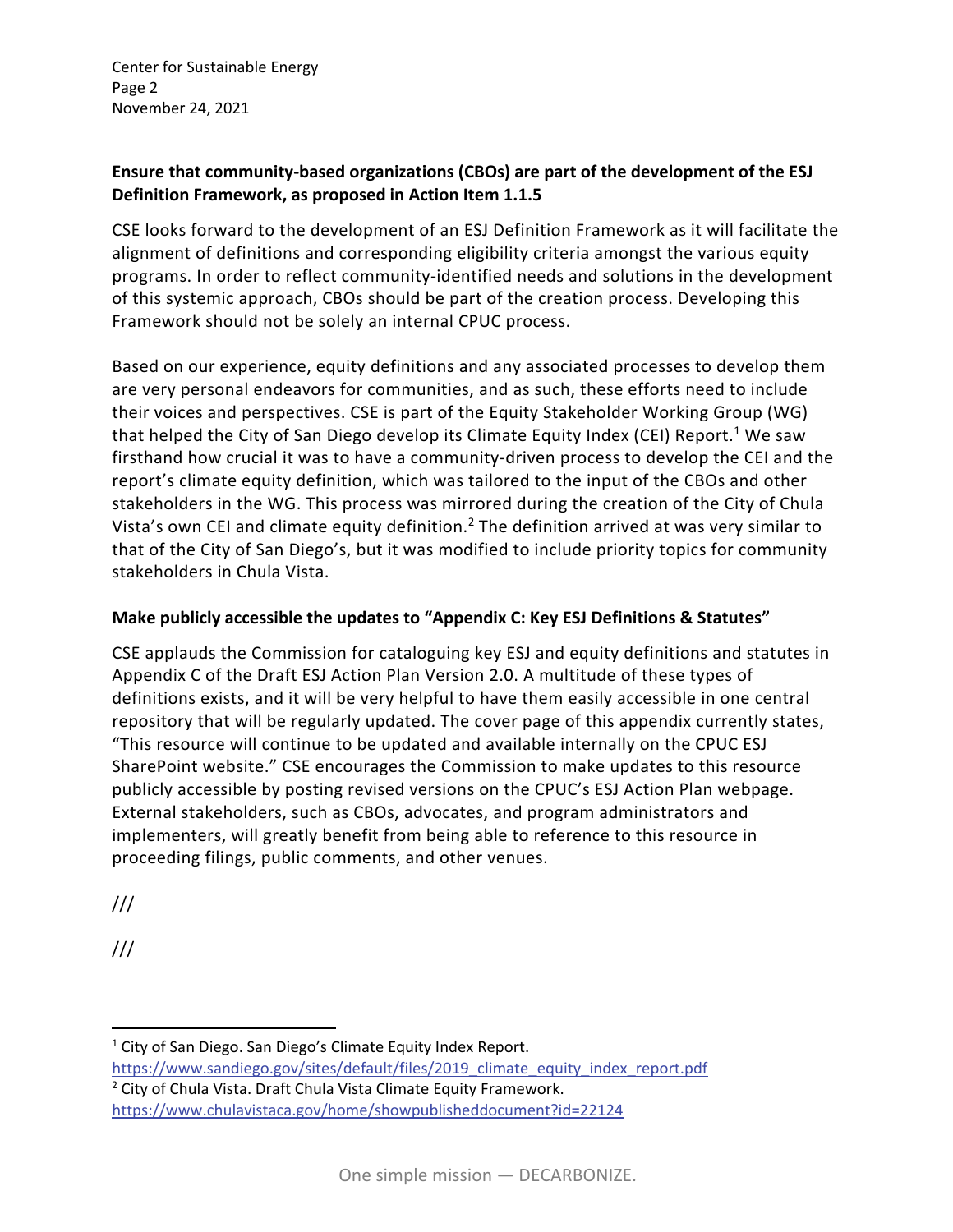Center for Sustainable Energy Page 2 November 24, 2021

#### **Ensure that community‐based organizations (CBOs) are part of the development of the ESJ Definition Framework, as proposed in Action Item 1.1.5**

CSE looks forward to the development of an ESJ Definition Framework as it will facilitate the alignment of definitions and corresponding eligibility criteria amongst the various equity programs. In order to reflect community‐identified needs and solutions in the development of this systemic approach, CBOs should be part of the creation process. Developing this Framework should not be solely an internal CPUC process.

Based on our experience, equity definitions and any associated processes to develop them are very personal endeavors for communities, and as such, these efforts need to include their voices and perspectives. CSE is part of the Equity Stakeholder Working Group (WG) that helped the City of San Diego develop its Climate Equity Index (CEI) Report.<sup>1</sup> We saw firsthand how crucial it was to have a community-driven process to develop the CEI and the report's climate equity definition, which was tailored to the input of the CBOs and other stakeholders in the WG. This process was mirrored during the creation of the City of Chula Vista's own CEI and climate equity definition.2 The definition arrived at was very similar to that of the City of San Diego's, but it was modified to include priority topics for community stakeholders in Chula Vista.

### **Make publicly accessible the updates to "Appendix C: Key ESJ Definitions & Statutes"**

CSE applauds the Commission for cataloguing key ESJ and equity definitions and statutes in Appendix C of the Draft ESJ Action Plan Version 2.0. A multitude of these types of definitions exists, and it will be very helpful to have them easily accessible in one central repository that will be regularly updated. The cover page of this appendix currently states, "This resource will continue to be updated and available internally on the CPUC ESJ SharePoint website." CSE encourages the Commission to make updates to this resource publicly accessible by posting revised versions on the CPUC's ESJ Action Plan webpage. External stakeholders, such as CBOs, advocates, and program administrators and implementers, will greatly benefit from being able to reference to this resource in proceeding filings, public comments, and other venues.

///

///

 $1$  City of San Diego. San Diego's Climate Equity Index Report. https://www.sandiego.gov/sites/default/files/2019\_climate\_equity\_index\_report.pdf <sup>2</sup> City of Chula Vista. Draft Chula Vista Climate Equity Framework. https://www.chulavistaca.gov/home/showpublisheddocument?id=22124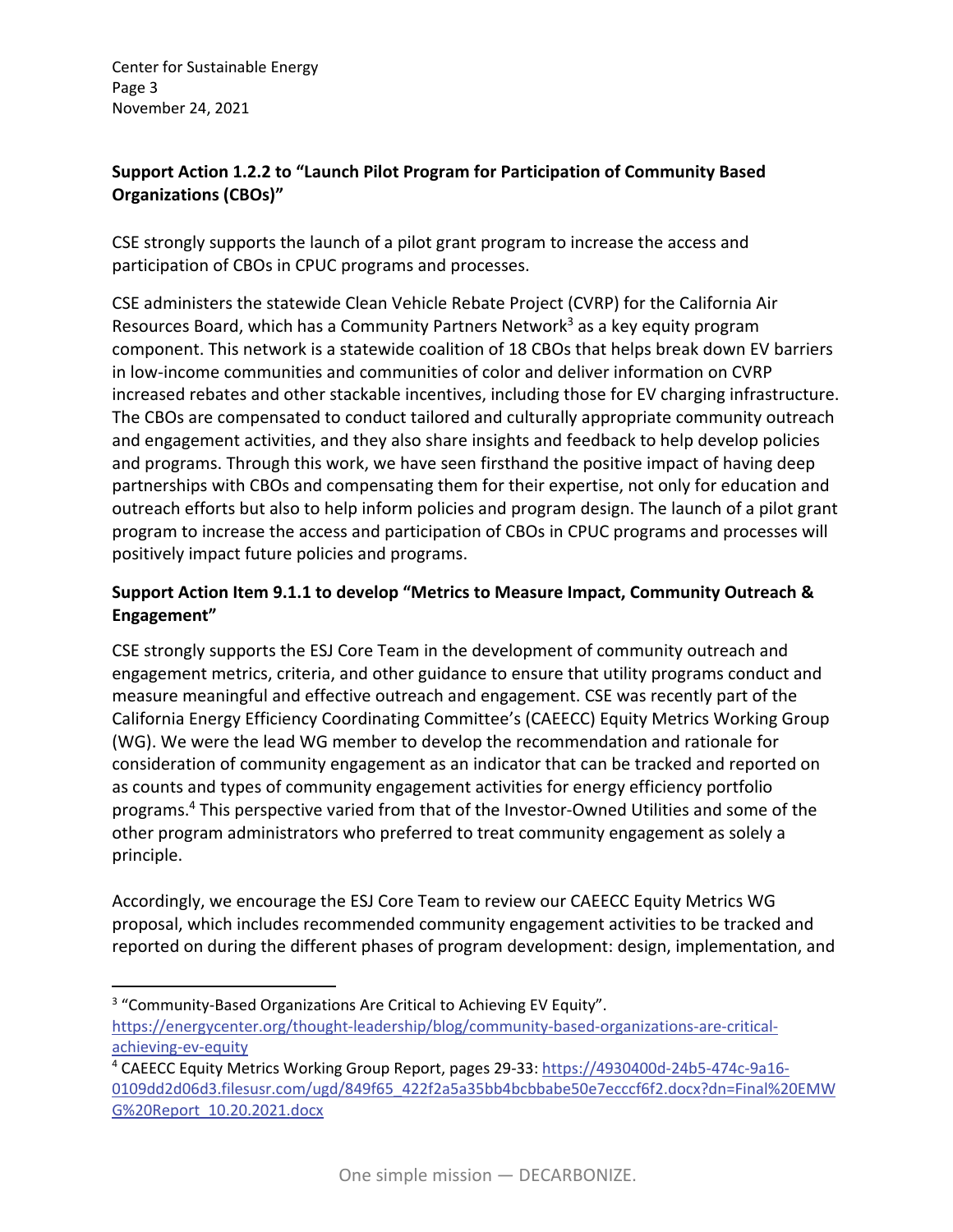Center for Sustainable Energy Page 3 November 24, 2021

### **Support Action 1.2.2 to "Launch Pilot Program for Participation of Community Based Organizations (CBOs)"**

CSE strongly supports the launch of a pilot grant program to increase the access and participation of CBOs in CPUC programs and processes.

CSE administers the statewide Clean Vehicle Rebate Project (CVRP) for the California Air Resources Board, which has a Community Partners Network<sup>3</sup> as a key equity program component. This network is a statewide coalition of 18 CBOs that helps break down EV barriers in low‐income communities and communities of color and deliver information on CVRP increased rebates and other stackable incentives, including those for EV charging infrastructure. The CBOs are compensated to conduct tailored and culturally appropriate community outreach and engagement activities, and they also share insights and feedback to help develop policies and programs. Through this work, we have seen firsthand the positive impact of having deep partnerships with CBOs and compensating them for their expertise, not only for education and outreach efforts but also to help inform policies and program design. The launch of a pilot grant program to increase the access and participation of CBOs in CPUC programs and processes will positively impact future policies and programs.

## **Support Action Item 9.1.1 to develop "Metrics to Measure Impact, Community Outreach & Engagement"**

CSE strongly supports the ESJ Core Team in the development of community outreach and engagement metrics, criteria, and other guidance to ensure that utility programs conduct and measure meaningful and effective outreach and engagement. CSE was recently part of the California Energy Efficiency Coordinating Committee's (CAEECC) Equity Metrics Working Group (WG). We were the lead WG member to develop the recommendation and rationale for consideration of community engagement as an indicator that can be tracked and reported on as counts and types of community engagement activities for energy efficiency portfolio programs.4 This perspective varied from that of the Investor‐Owned Utilities and some of the other program administrators who preferred to treat community engagement as solely a principle.

Accordingly, we encourage the ESJ Core Team to review our CAEECC Equity Metrics WG proposal, which includes recommended community engagement activities to be tracked and reported on during the different phases of program development: design, implementation, and

<sup>&</sup>lt;sup>3</sup> "Community-Based Organizations Are Critical to Achieving EV Equity". https://energycenter.org/thought-leadership/blog/community-based-organizations-are-criticalachieving‐ev‐equity

<sup>4</sup> CAEECC Equity Metrics Working Group Report, pages 29‐33: https://4930400d‐24b5‐474c‐9a16‐ 0109dd2d06d3.filesusr.com/ugd/849f65\_422f2a5a35bb4bcbbabe50e7ecccf6f2.docx?dn=Final%20EMW G%20Report\_10.20.2021.docx